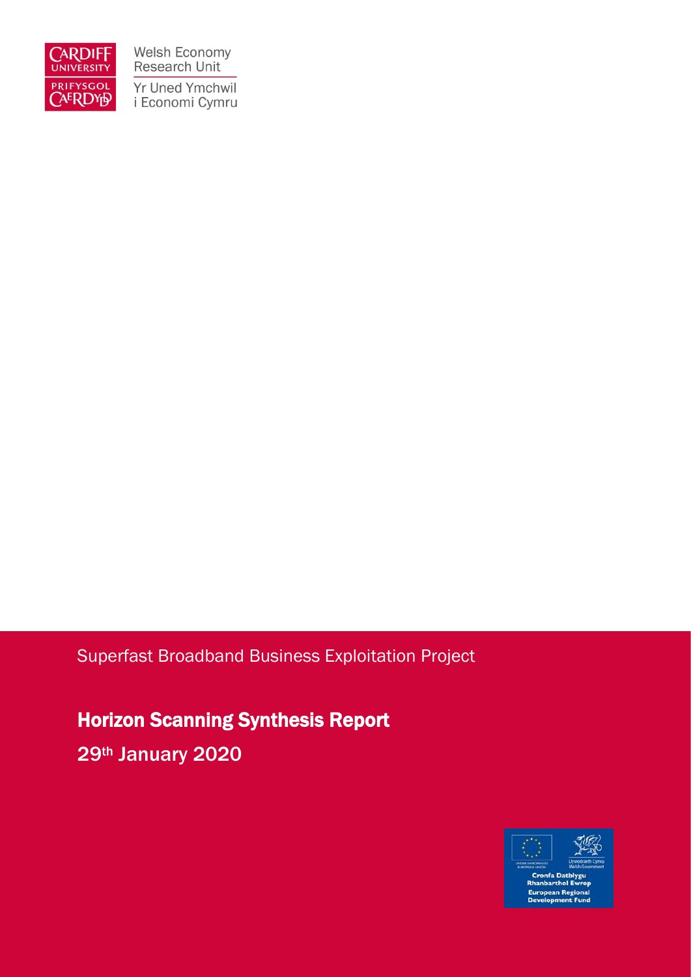

Welsh Economy Research Unit Yr Uned Ymchwil i Economi Cymru

### Superfast Broadband Business Exploitation Project

Horizon Scanning Synthesis Report 29<sup>th</sup> January 2020



European Regional<br>Development Fund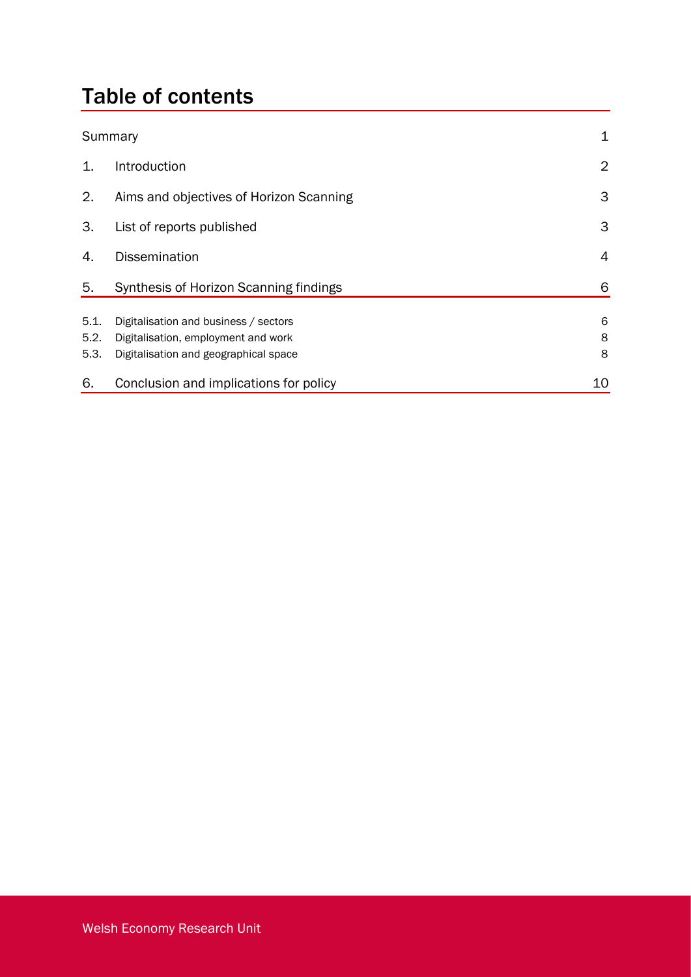# Table of contents

|                      | Summary                                                                                                               |             |  |
|----------------------|-----------------------------------------------------------------------------------------------------------------------|-------------|--|
| 1.                   | Introduction                                                                                                          | 2           |  |
| 2.                   | Aims and objectives of Horizon Scanning                                                                               | 3           |  |
| 3.                   | List of reports published                                                                                             | 3           |  |
| 4.                   | <b>Dissemination</b>                                                                                                  | 4           |  |
| 5.                   | Synthesis of Horizon Scanning findings                                                                                | 6           |  |
| 5.1.<br>5.2.<br>5.3. | Digitalisation and business / sectors<br>Digitalisation, employment and work<br>Digitalisation and geographical space | 6<br>8<br>8 |  |
| 6.                   | Conclusion and implications for policy                                                                                | 10          |  |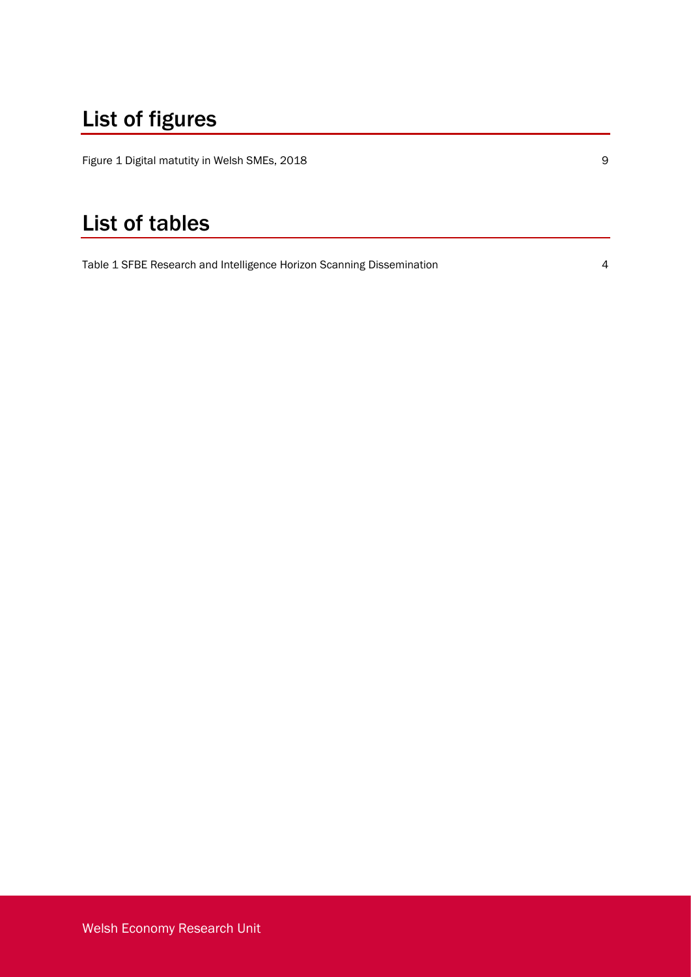# List of figures

[Figure 1 Digital matutity in Welsh SMEs, 2018](#page-11-0) **9** 

## List of tables

[Table 1 SFBE Research and Intelligence Horizon Scanning Dissemination](#page-6-0) 4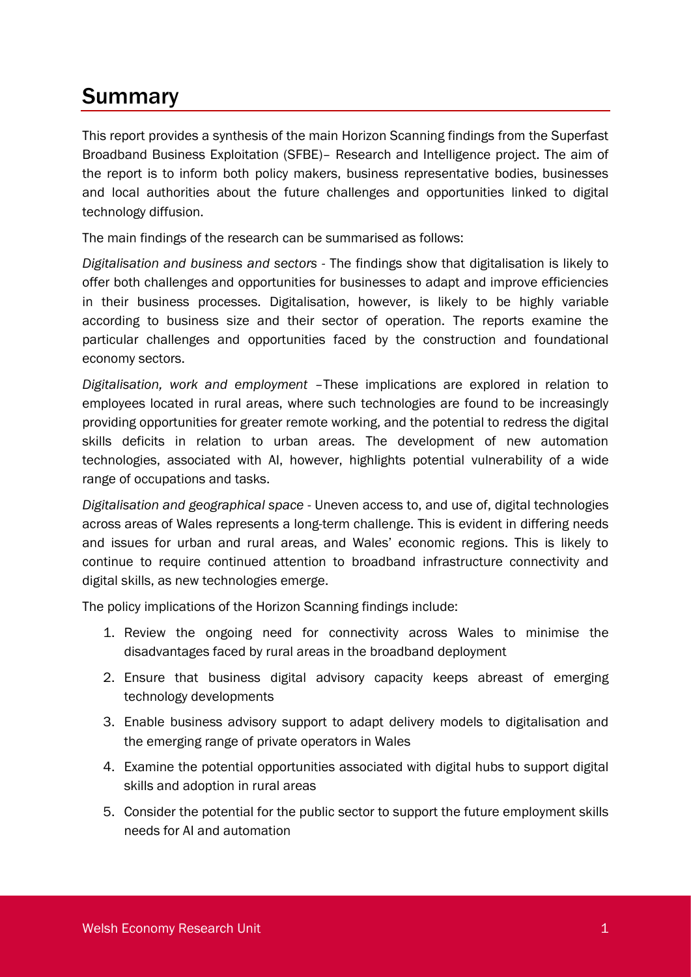### Summary

This report provides a synthesis of the main Horizon Scanning findings from the Superfast Broadband Business Exploitation (SFBE)– Research and Intelligence project. The aim of the report is to inform both policy makers, business representative bodies, businesses and local authorities about the future challenges and opportunities linked to digital technology diffusion.

The main findings of the research can be summarised as follows:

*Digitalisation and business and sectors* - The findings show that digitalisation is likely to offer both challenges and opportunities for businesses to adapt and improve efficiencies in their business processes. Digitalisation, however, is likely to be highly variable according to business size and their sector of operation. The reports examine the particular challenges and opportunities faced by the construction and foundational economy sectors.

*Digitalisation, work and employment* –These implications are explored in relation to employees located in rural areas, where such technologies are found to be increasingly providing opportunities for greater remote working, and the potential to redress the digital skills deficits in relation to urban areas. The development of new automation technologies, associated with AI, however, highlights potential vulnerability of a wide range of occupations and tasks.

*Digitalisation and geographical space* - Uneven access to, and use of, digital technologies across areas of Wales represents a long-term challenge. This is evident in differing needs and issues for urban and rural areas, and Wales' economic regions. This is likely to continue to require continued attention to broadband infrastructure connectivity and digital skills, as new technologies emerge.

The policy implications of the Horizon Scanning findings include:

- 1. Review the ongoing need for connectivity across Wales to minimise the disadvantages faced by rural areas in the broadband deployment
- 2. Ensure that business digital advisory capacity keeps abreast of emerging technology developments
- 3. Enable business advisory support to adapt delivery models to digitalisation and the emerging range of private operators in Wales
- 4. Examine the potential opportunities associated with digital hubs to support digital skills and adoption in rural areas
- 5. Consider the potential for the public sector to support the future employment skills needs for AI and automation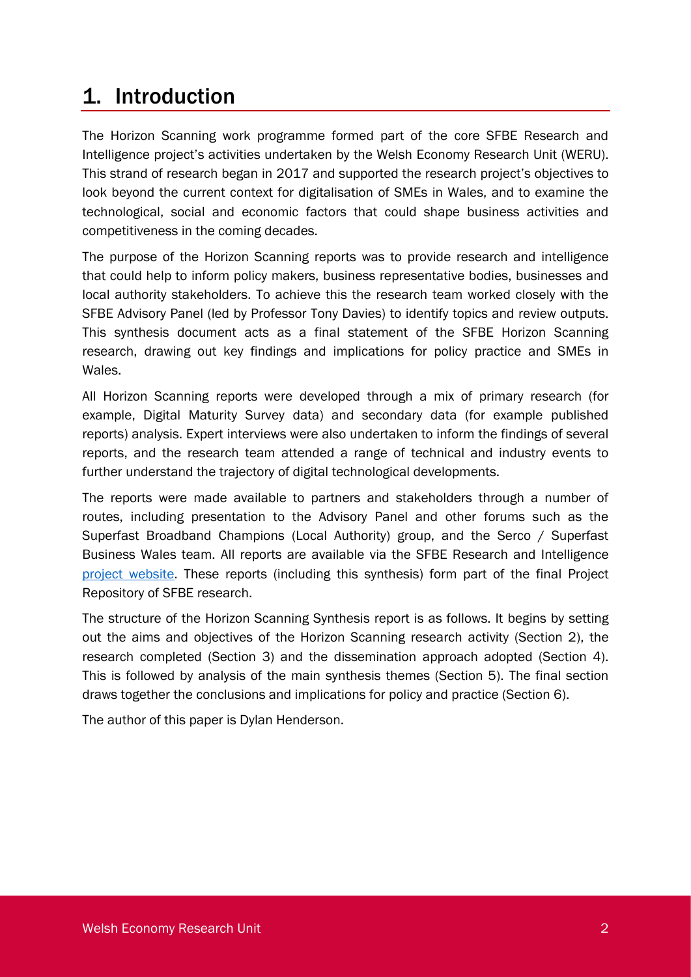### 1. Introduction

The Horizon Scanning work programme formed part of the core SFBE Research and Intelligence project's activities undertaken by the Welsh Economy Research Unit (WERU). This strand of research began in 2017 and supported the research project's objectives to look beyond the current context for digitalisation of SMEs in Wales, and to examine the technological, social and economic factors that could shape business activities and competitiveness in the coming decades.

The purpose of the Horizon Scanning reports was to provide research and intelligence that could help to inform policy makers, business representative bodies, businesses and local authority stakeholders. To achieve this the research team worked closely with the SFBE Advisory Panel (led by Professor Tony Davies) to identify topics and review outputs. This synthesis document acts as a final statement of the SFBE Horizon Scanning research, drawing out key findings and implications for policy practice and SMEs in Wales.

All Horizon Scanning reports were developed through a mix of primary research (for example, Digital Maturity Survey data) and secondary data (for example published reports) analysis. Expert interviews were also undertaken to inform the findings of several reports, and the research team attended a range of technical and industry events to further understand the trajectory of digital technological developments.

The reports were made available to partners and stakeholders through a number of routes, including presentation to the Advisory Panel and other forums such as the Superfast Broadband Champions (Local Authority) group, and the Serco / Superfast Business Wales team. All reports are available via the SFBE Research and Intelligence project [website.](https://www.cardiff.ac.uk/superfast-broadband-project/horizon-scanning) These reports (including this synthesis) form part of the final Project Repository of SFBE research.

The structure of the Horizon Scanning Synthesis report is as follows. It begins by setting out the aims and objectives of the Horizon Scanning research activity (Section 2), the research completed (Section 3) and the dissemination approach adopted (Section 4). This is followed by analysis of the main synthesis themes (Section 5). The final section draws together the conclusions and implications for policy and practice (Section 6).

The author of this paper is Dylan Henderson.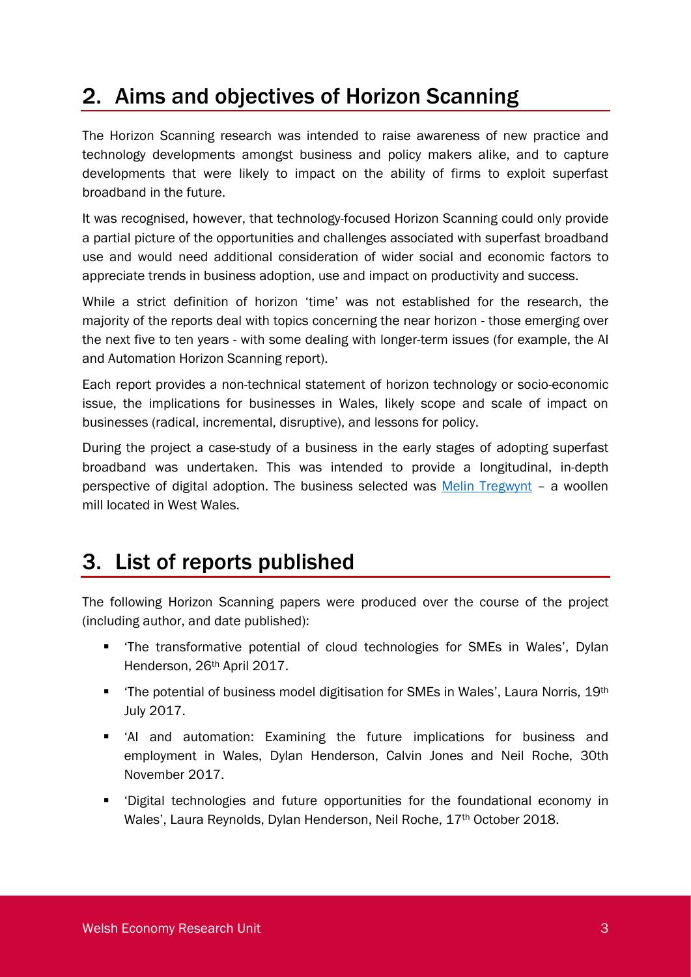## 2. Aims and objectives of Horizon Scanning

The Horizon Scanning research was intended to raise awareness of new practice and technology developments amongst business and policy makers alike, and to capture developments that were likely to impact on the ability of firms to exploit superfast broadband in the future.

It was recognised, however, that technology-focused Horizon Scanning could only provide a partial picture of the opportunities and challenges associated with superfast broadband use and would need additional consideration of wider social and economic factors to appreciate trends in business adoption, use and impact on productivity and success.

While a strict definition of horizon 'time' was not established for the research, the majority of the reports deal with topics concerning the near horizon - those emerging over the next five to ten years - with some dealing with longer-term issues (for example, the AI and Automation Horizon Scanning report).

Each report provides a non-technical statement of horizon technology or socio-economic issue, the implications for businesses in Wales, likely scope and scale of impact on businesses (radical, incremental, disruptive), and lessons for policy.

During the project a case-study of a business in the early stages of adopting superfast broadband was undertaken. This was intended to provide a longitudinal, in-depth perspective of digital adoption. The business selected was [Melin Tregwynt](https://www.cardiff.ac.uk/superfast-broadband-project/case-studies/production/melin-tregwynt) – a woollen mill located in West Wales.

### 3. List of reports published

The following Horizon Scanning papers were produced over the course of the project (including author, and date published):

- 'The transformative potential of cloud technologies for SMEs in Wales', Dylan Henderson, 26th April 2017.
- The potential of business model digitisation for SMEs in Wales', Laura Norris, 19<sup>th</sup> July 2017.
- 'AI and automation: Examining the future implications for business and employment in Wales, Dylan Henderson, Calvin Jones and Neil Roche, 30th November 2017.
- 'Digital technologies and future opportunities for the foundational economy in Wales', Laura Reynolds, Dylan Henderson, Neil Roche, 17th October 2018.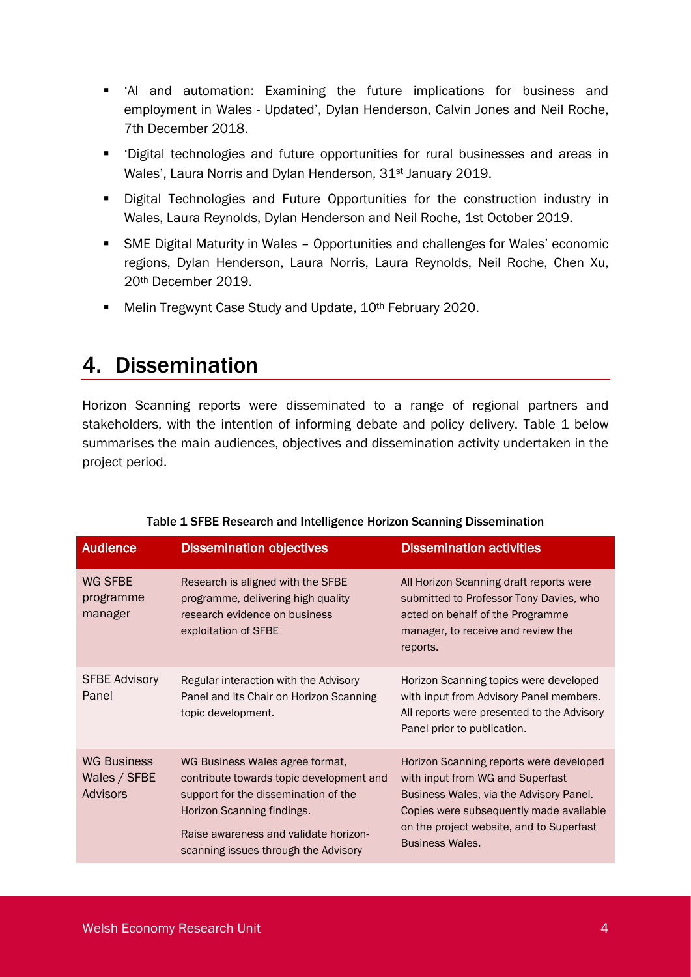- 'AI and automation: Examining the future implications for business and employment in Wales - Updated', Dylan Henderson, Calvin Jones and Neil Roche, 7th December 2018.
- 'Digital technologies and future opportunities for rural businesses and areas in Wales', Laura Norris and Dylan Henderson, 31<sup>st</sup> January 2019.
- Digital Technologies and Future Opportunities for the construction industry in Wales, Laura Reynolds, Dylan Henderson and Neil Roche, 1st October 2019.
- SME Digital Maturity in Wales Opportunities and challenges for Wales' economic regions, Dylan Henderson, Laura Norris, Laura Reynolds, Neil Roche, Chen Xu, 20th December 2019.
- Melin Tregwynt Case Study and Update, 10<sup>th</sup> February 2020.

### 4. Dissemination

Horizon Scanning reports were disseminated to a range of regional partners and stakeholders, with the intention of informing debate and policy delivery. Table 1 below summarises the main audiences, objectives and dissemination activity undertaken in the project period.

<span id="page-6-0"></span>

| <b>Audience</b>                                       | <b>Dissemination objectives</b>                                                                                                                                                                                                    | <b>Dissemination activities</b>                                                                                                                                                                                                         |  |
|-------------------------------------------------------|------------------------------------------------------------------------------------------------------------------------------------------------------------------------------------------------------------------------------------|-----------------------------------------------------------------------------------------------------------------------------------------------------------------------------------------------------------------------------------------|--|
| WG SFBE<br>programme<br>manager                       | Research is aligned with the SFBE<br>programme, delivering high quality<br>research evidence on business<br>exploitation of SFBE                                                                                                   | All Horizon Scanning draft reports were<br>submitted to Professor Tony Davies, who<br>acted on behalf of the Programme<br>manager, to receive and review the<br>reports.                                                                |  |
| <b>SFBE Advisory</b><br>Panel                         | Regular interaction with the Advisory<br>Panel and its Chair on Horizon Scanning<br>topic development.                                                                                                                             | Horizon Scanning topics were developed<br>with input from Advisory Panel members.<br>All reports were presented to the Advisory<br>Panel prior to publication.                                                                          |  |
| <b>WG Business</b><br>Wales / SFBE<br><b>Advisors</b> | WG Business Wales agree format,<br>contribute towards topic development and<br>support for the dissemination of the<br>Horizon Scanning findings.<br>Raise awareness and validate horizon-<br>scanning issues through the Advisory | Horizon Scanning reports were developed<br>with input from WG and Superfast<br>Business Wales, via the Advisory Panel.<br>Copies were subsequently made available<br>on the project website, and to Superfast<br><b>Business Wales.</b> |  |

#### Table 1 SFBE Research and Intelligence Horizon Scanning Dissemination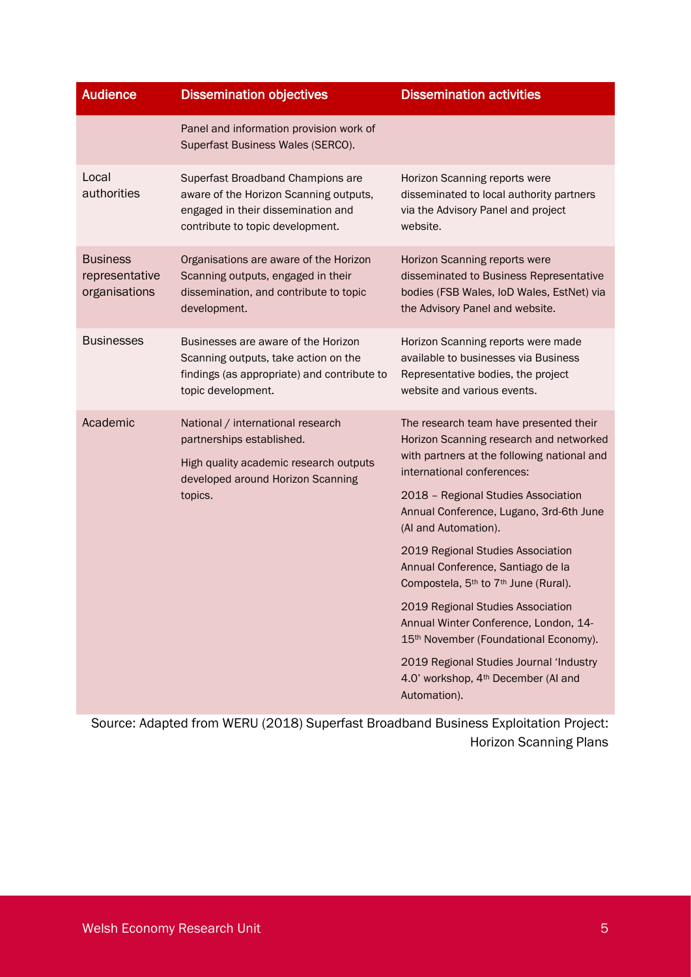| <b>Audience</b>                                    | <b>Dissemination objectives</b>                                                                                                                          | <b>Dissemination activities</b>                                                                                                                                                                                                                                                                                                                                                                                                                                                                                                                                                                                                                                     |  |
|----------------------------------------------------|----------------------------------------------------------------------------------------------------------------------------------------------------------|---------------------------------------------------------------------------------------------------------------------------------------------------------------------------------------------------------------------------------------------------------------------------------------------------------------------------------------------------------------------------------------------------------------------------------------------------------------------------------------------------------------------------------------------------------------------------------------------------------------------------------------------------------------------|--|
|                                                    | Panel and information provision work of<br>Superfast Business Wales (SERCO).                                                                             |                                                                                                                                                                                                                                                                                                                                                                                                                                                                                                                                                                                                                                                                     |  |
| Local<br>authorities                               | Superfast Broadband Champions are<br>aware of the Horizon Scanning outputs,<br>engaged in their dissemination and<br>contribute to topic development.    | Horizon Scanning reports were<br>disseminated to local authority partners<br>via the Advisory Panel and project<br>website.                                                                                                                                                                                                                                                                                                                                                                                                                                                                                                                                         |  |
| <b>Business</b><br>representative<br>organisations | Organisations are aware of the Horizon<br>Scanning outputs, engaged in their<br>dissemination, and contribute to topic<br>development.                   | Horizon Scanning reports were<br>disseminated to Business Representative<br>bodies (FSB Wales, IoD Wales, EstNet) via<br>the Advisory Panel and website.                                                                                                                                                                                                                                                                                                                                                                                                                                                                                                            |  |
| <b>Businesses</b>                                  | Businesses are aware of the Horizon<br>Scanning outputs, take action on the<br>findings (as appropriate) and contribute to<br>topic development.         | Horizon Scanning reports were made<br>available to businesses via Business<br>Representative bodies, the project<br>website and various events.                                                                                                                                                                                                                                                                                                                                                                                                                                                                                                                     |  |
| Academic                                           | National / international research<br>partnerships established.<br>High quality academic research outputs<br>developed around Horizon Scanning<br>topics. | The research team have presented their<br>Horizon Scanning research and networked<br>with partners at the following national and<br>international conferences:<br>2018 - Regional Studies Association<br>Annual Conference, Lugano, 3rd-6th June<br>(Al and Automation).<br>2019 Regional Studies Association<br>Annual Conference, Santiago de la<br>Compostela, 5 <sup>th</sup> to 7 <sup>th</sup> June (Rural).<br>2019 Regional Studies Association<br>Annual Winter Conference, London, 14-<br>15 <sup>th</sup> November (Foundational Economy).<br>2019 Regional Studies Journal 'Industry<br>4.0' workshop, 4 <sup>th</sup> December (AI and<br>Automation). |  |

Source: Adapted from WERU (2018) Superfast Broadband Business Exploitation Project: Horizon Scanning Plans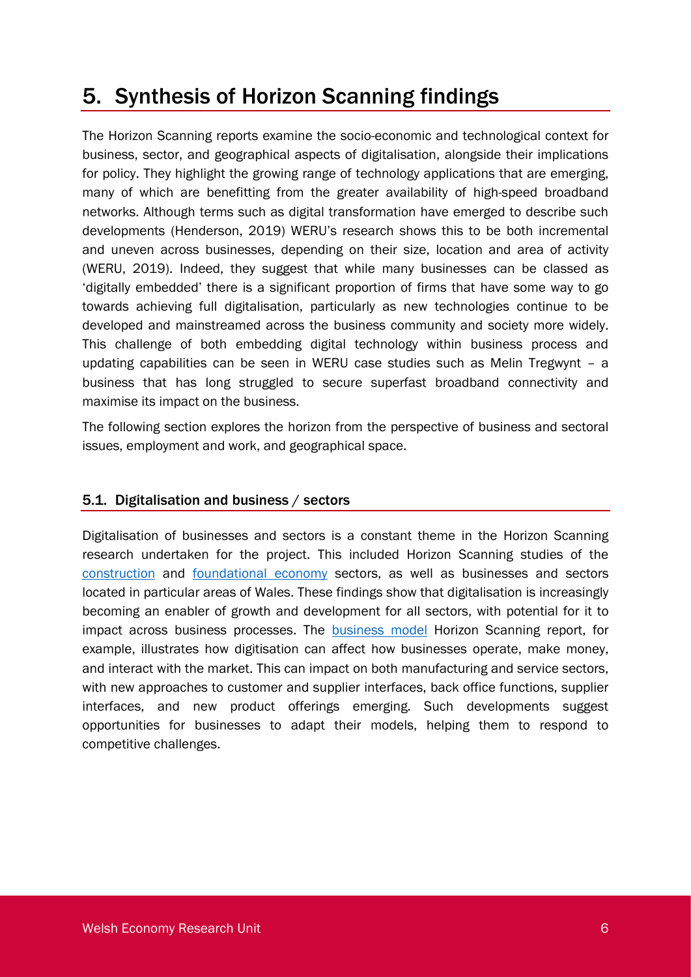## 5. Synthesis of Horizon Scanning findings

The Horizon Scanning reports examine the socio-economic and technological context for business, sector, and geographical aspects of digitalisation, alongside their implications for policy. They highlight the growing range of technology applications that are emerging, many of which are benefitting from the greater availability of high-speed broadband networks. Although terms such as digital transformation have emerged to describe such developments (Henderson, 2019) WERU's research shows this to be both incremental and uneven across businesses, depending on their size, location and area of activity (WERU, 2019). Indeed, they suggest that while many businesses can be classed as 'digitally embedded' there is a significant proportion of firms that have some way to go towards achieving full digitalisation, particularly as new technologies continue to be developed and mainstreamed across the business community and society more widely. This challenge of both embedding digital technology within business process and updating capabilities can be seen in WERU case studies such as Melin Tregwynt – a business that has long struggled to secure superfast broadband connectivity and maximise its impact on the business.

The following section explores the horizon from the perspective of business and sectoral issues, employment and work, and geographical space.

### 5.1. Digitalisation and business / sectors

Digitalisation of businesses and sectors is a constant theme in the Horizon Scanning research undertaken for the project. This included Horizon Scanning studies of the [construction](https://www.cardiff.ac.uk/__data/assets/pdf_file/0009/1702674/Horizon-scanning_Construction_final.pdf) and [foundational economy](https://www.cardiff.ac.uk/__data/assets/pdf_file/0009/1386522/New-Foundational-Economy_v9-LR-DH-NR.pdf) sectors, as well as businesses and sectors located in particular areas of Wales. These findings show that digitalisation is increasingly becoming an enabler of growth and development for all sectors, with potential for it to impact across business processes. The [business model](https://www.cardiff.ac.uk/__data/assets/pdf_file/0005/1064732/Horizon-Scanning_business-model-report-final-1b.pdf) Horizon Scanning report, for example, illustrates how digitisation can affect how businesses operate, make money, and interact with the market. This can impact on both manufacturing and service sectors, with new approaches to customer and supplier interfaces, back office functions, supplier interfaces, and new product offerings emerging. Such developments suggest opportunities for businesses to adapt their models, helping them to respond to competitive challenges.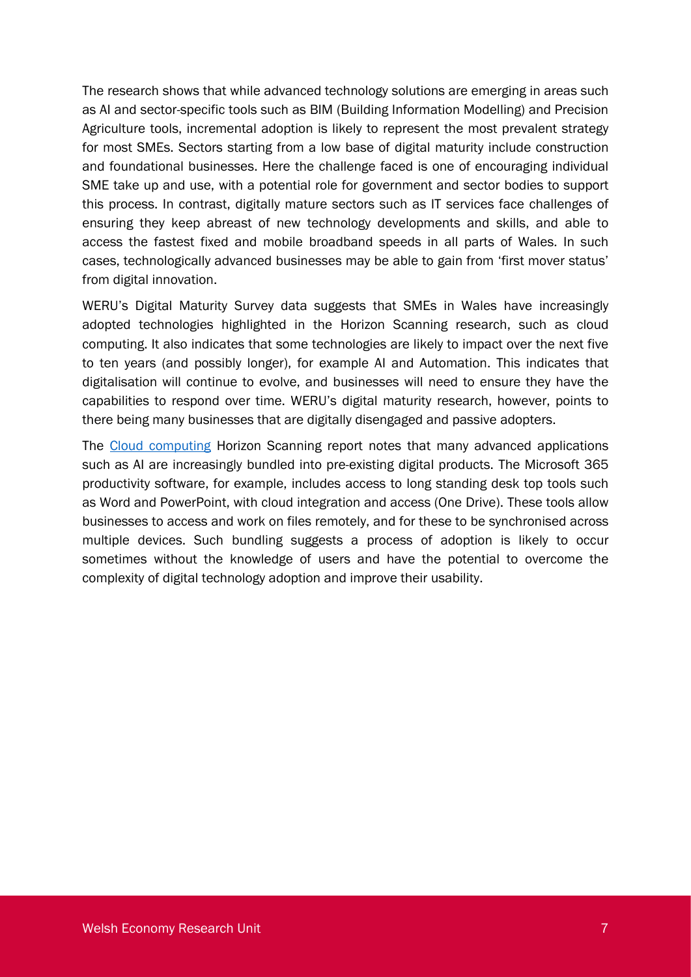The research shows that while advanced technology solutions are emerging in areas such as AI and sector-specific tools such as BIM (Building Information Modelling) and Precision Agriculture tools, incremental adoption is likely to represent the most prevalent strategy for most SMEs. Sectors starting from a low base of digital maturity include construction and foundational businesses. Here the challenge faced is one of encouraging individual SME take up and use, with a potential role for government and sector bodies to support this process. In contrast, digitally mature sectors such as IT services face challenges of ensuring they keep abreast of new technology developments and skills, and able to access the fastest fixed and mobile broadband speeds in all parts of Wales. In such cases, technologically advanced businesses may be able to gain from 'first mover status' from digital innovation.

WERU's Digital Maturity Survey data suggests that SMEs in Wales have increasingly adopted technologies highlighted in the Horizon Scanning research, such as cloud computing. It also indicates that some technologies are likely to impact over the next five to ten years (and possibly longer), for example AI and Automation. This indicates that digitalisation will continue to evolve, and businesses will need to ensure they have the capabilities to respond over time. WERU's digital maturity research, however, points to there being many businesses that are digitally disengaged and passive adopters.

The [Cloud computing](https://www.cardiff.ac.uk/__data/assets/pdf_file/0003/1064712/Horizon-Scanning_cloud-computing-report-1_3b.pdf) Horizon Scanning report notes that many advanced applications such as AI are increasingly bundled into pre-existing digital products. The Microsoft 365 productivity software, for example, includes access to long standing desk top tools such as Word and PowerPoint, with cloud integration and access (One Drive). These tools allow businesses to access and work on files remotely, and for these to be synchronised across multiple devices. Such bundling suggests a process of adoption is likely to occur sometimes without the knowledge of users and have the potential to overcome the complexity of digital technology adoption and improve their usability.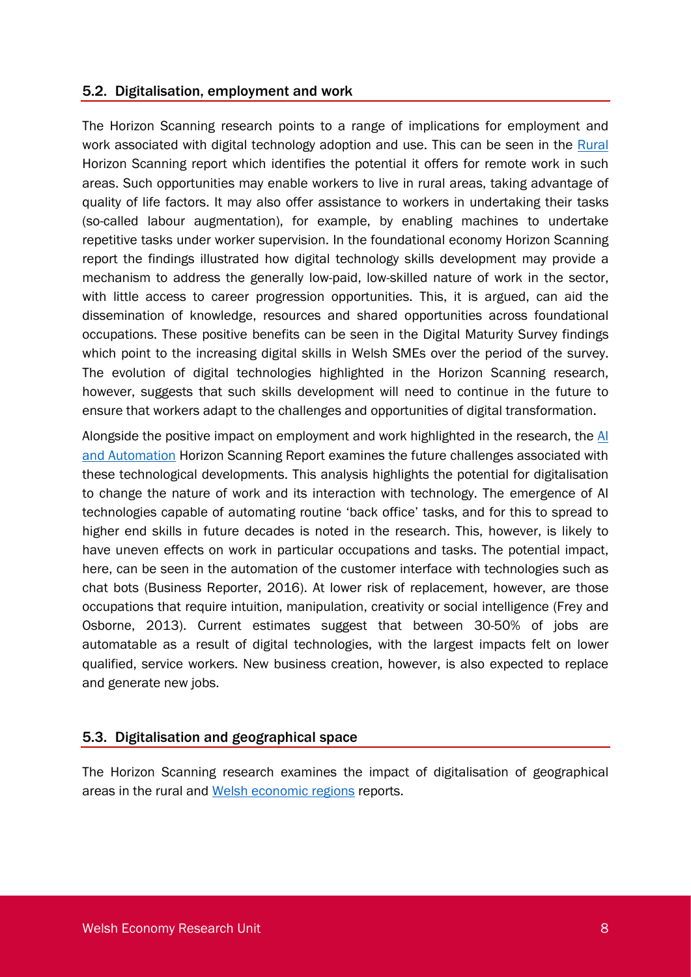#### 5.2. Digitalisation, employment and work

The Horizon Scanning research points to a range of implications for employment and work associated with digital technology adoption and use. This can be seen in the [Rural](https://www.cardiff.ac.uk/__data/assets/pdf_file/0008/1438802/Horizon-scanning_rural-opportunities-03.pdf) Horizon Scanning report which identifies the potential it offers for remote work in such areas. Such opportunities may enable workers to live in rural areas, taking advantage of quality of life factors. It may also offer assistance to workers in undertaking their tasks (so-called labour augmentation), for example, by enabling machines to undertake repetitive tasks under worker supervision. In the foundational economy Horizon Scanning report the findings illustrated how digital technology skills development may provide a mechanism to address the generally low-paid, low-skilled nature of work in the sector, with little access to career progression opportunities. This, it is argued, can aid the dissemination of knowledge, resources and shared opportunities across foundational occupations. These positive benefits can be seen in the Digital Maturity Survey findings which point to the increasing digital skills in Welsh SMEs over the period of the survey. The evolution of digital technologies highlighted in the Horizon Scanning research, however, suggests that such skills development will need to continue in the future to ensure that workers adapt to the challenges and opportunities of digital transformation.

Alongside the positive impact on employment and work highlighted in the research, the  $\overline{Al}$ [and Automation](https://www.cardiff.ac.uk/__data/assets/pdf_file/0007/1437154/Horizon-Scanning-AI-and-Automation-Redraft-v2docx.pdf) Horizon Scanning Report examines the future challenges associated with these technological developments. This analysis highlights the potential for digitalisation to change the nature of work and its interaction with technology. The emergence of AI technologies capable of automating routine 'back office' tasks, and for this to spread to higher end skills in future decades is noted in the research. This, however, is likely to have uneven effects on work in particular occupations and tasks. The potential impact, here, can be seen in the automation of the customer interface with technologies such as chat bots (Business Reporter, 2016). At lower risk of replacement, however, are those occupations that require intuition, manipulation, creativity or social intelligence (Frey and Osborne, 2013). Current estimates suggest that between 30-50% of jobs are automatable as a result of digital technologies, with the largest impacts felt on lower qualified, service workers. New business creation, however, is also expected to replace and generate new jobs.

#### 5.3. Digitalisation and geographical space

The Horizon Scanning research examines the impact of digitalisation of geographical areas in the rural and [Welsh economic regions](../sbsdh13/AppData/Local/Microsoft/Windows/INetCache/sbsndr/Downloads/Reference%20to%20be%20inserted%20when%20paper%20is%20uploaded) reports.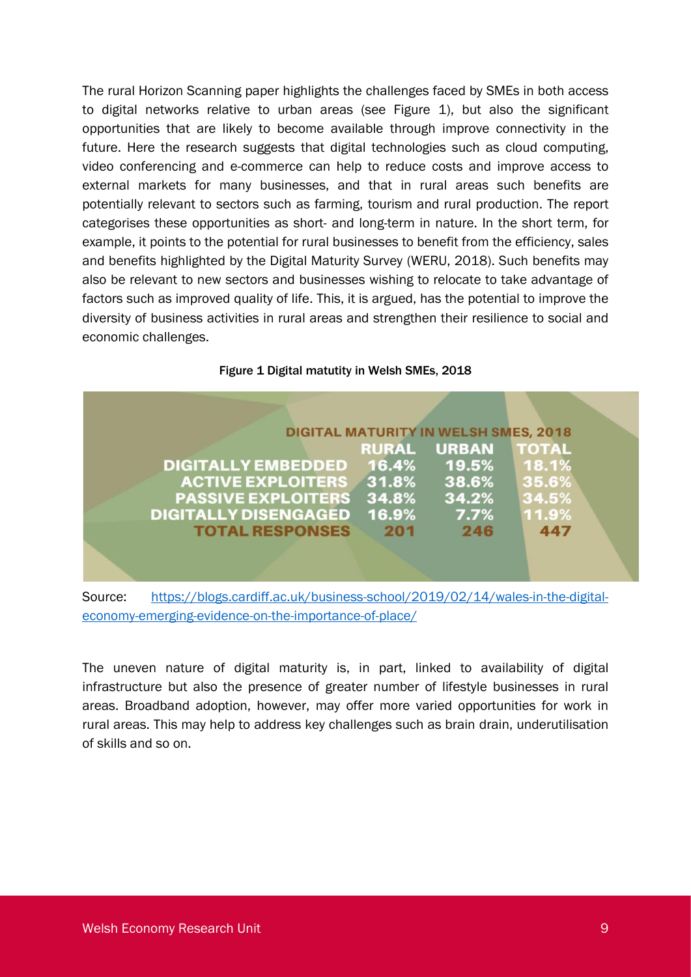The rural Horizon Scanning paper highlights the challenges faced by SMEs in both access to digital networks relative to urban areas (see Figure 1), but also the significant opportunities that are likely to become available through improve connectivity in the future. Here the research suggests that digital technologies such as cloud computing, video conferencing and e-commerce can help to reduce costs and improve access to external markets for many businesses, and that in rural areas such benefits are potentially relevant to sectors such as farming, tourism and rural production. The report categorises these opportunities as short- and long-term in nature. In the short term, for example, it points to the potential for rural businesses to benefit from the efficiency, sales and benefits highlighted by the Digital Maturity Survey (WERU, 2018). Such benefits may also be relevant to new sectors and businesses wishing to relocate to take advantage of factors such as improved quality of life. This, it is argued, has the potential to improve the diversity of business activities in rural areas and strengthen their resilience to social and economic challenges.

<span id="page-11-0"></span>

|                                 |       | <b>DIGITAL MATURITY IN WELSH SMES, 2018</b> |              |
|---------------------------------|-------|---------------------------------------------|--------------|
|                                 |       | <b>RURAL URBAN</b>                          | <b>TOTAL</b> |
| <b>DIGITALLY EMBEDDED</b>       | 16.4% | 19.5%                                       | 18.1%        |
| <b>ACTIVE EXPLOITERS 31.8%</b>  |       | 38.6%                                       | 35.6%        |
| <b>PASSIVE EXPLOITERS 34.8%</b> |       | 34.2%                                       | 34.5%        |
| <b>DIGITALLY DISENGAGED</b>     | 16.9% | 7.7%                                        | 11.9%        |
| <b>TOTAL RESPONSES</b>          | 201   | 246                                         | 447          |
|                                 |       |                                             |              |
|                                 |       |                                             |              |

Figure 1 Digital matutity in Welsh SMEs, 2018

Source: [https://blogs.cardiff.ac.uk/business-school/2019/02/14/wales-in-the-digital](https://blogs.cardiff.ac.uk/business-school/2019/02/14/wales-in-the-digital-economy-emerging-evidence-on-the-importance-of-place/)[economy-emerging-evidence-on-the-importance-of-place/](https://blogs.cardiff.ac.uk/business-school/2019/02/14/wales-in-the-digital-economy-emerging-evidence-on-the-importance-of-place/)

The uneven nature of digital maturity is, in part, linked to availability of digital infrastructure but also the presence of greater number of lifestyle businesses in rural areas. Broadband adoption, however, may offer more varied opportunities for work in rural areas. This may help to address key challenges such as brain drain, underutilisation of skills and so on.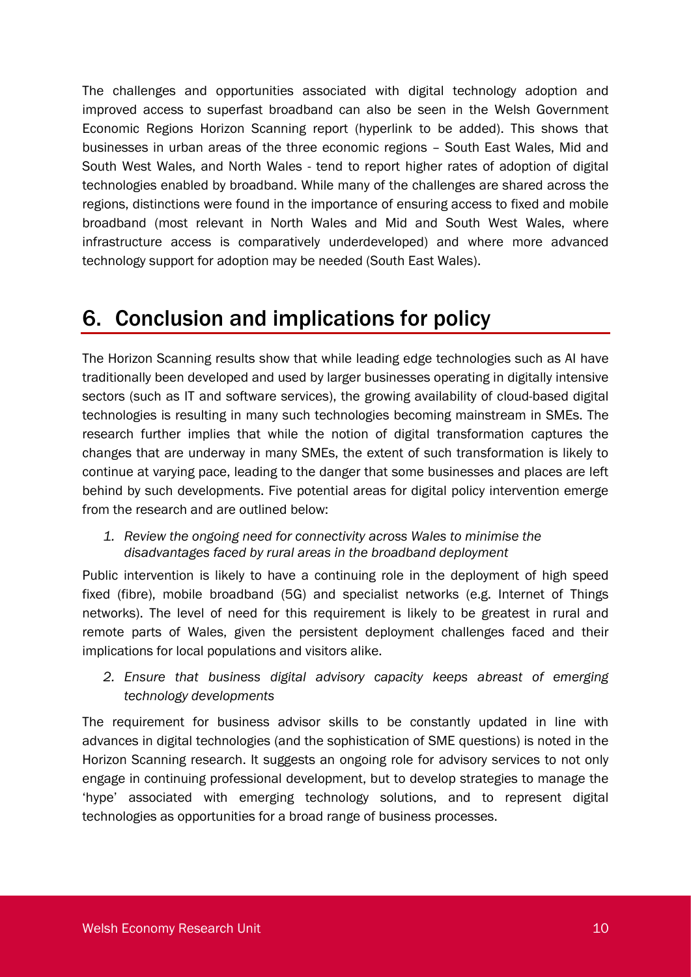The challenges and opportunities associated with digital technology adoption and improved access to superfast broadband can also be seen in the Welsh Government Economic Regions Horizon Scanning report (hyperlink to be added). This shows that businesses in urban areas of the three economic regions – South East Wales, Mid and South West Wales, and North Wales - tend to report higher rates of adoption of digital technologies enabled by broadband. While many of the challenges are shared across the regions, distinctions were found in the importance of ensuring access to fixed and mobile broadband (most relevant in North Wales and Mid and South West Wales, where infrastructure access is comparatively underdeveloped) and where more advanced technology support for adoption may be needed (South East Wales).

## 6. Conclusion and implications for policy

The Horizon Scanning results show that while leading edge technologies such as AI have traditionally been developed and used by larger businesses operating in digitally intensive sectors (such as IT and software services), the growing availability of cloud-based digital technologies is resulting in many such technologies becoming mainstream in SMEs. The research further implies that while the notion of digital transformation captures the changes that are underway in many SMEs, the extent of such transformation is likely to continue at varying pace, leading to the danger that some businesses and places are left behind by such developments. Five potential areas for digital policy intervention emerge from the research and are outlined below:

*1. Review the ongoing need for connectivity across Wales to minimise the disadvantages faced by rural areas in the broadband deployment*

Public intervention is likely to have a continuing role in the deployment of high speed fixed (fibre), mobile broadband (5G) and specialist networks (e.g. Internet of Things networks). The level of need for this requirement is likely to be greatest in rural and remote parts of Wales, given the persistent deployment challenges faced and their implications for local populations and visitors alike.

*2. Ensure that business digital advisory capacity keeps abreast of emerging technology developments*

The requirement for business advisor skills to be constantly updated in line with advances in digital technologies (and the sophistication of SME questions) is noted in the Horizon Scanning research. It suggests an ongoing role for advisory services to not only engage in continuing professional development, but to develop strategies to manage the 'hype' associated with emerging technology solutions, and to represent digital technologies as opportunities for a broad range of business processes.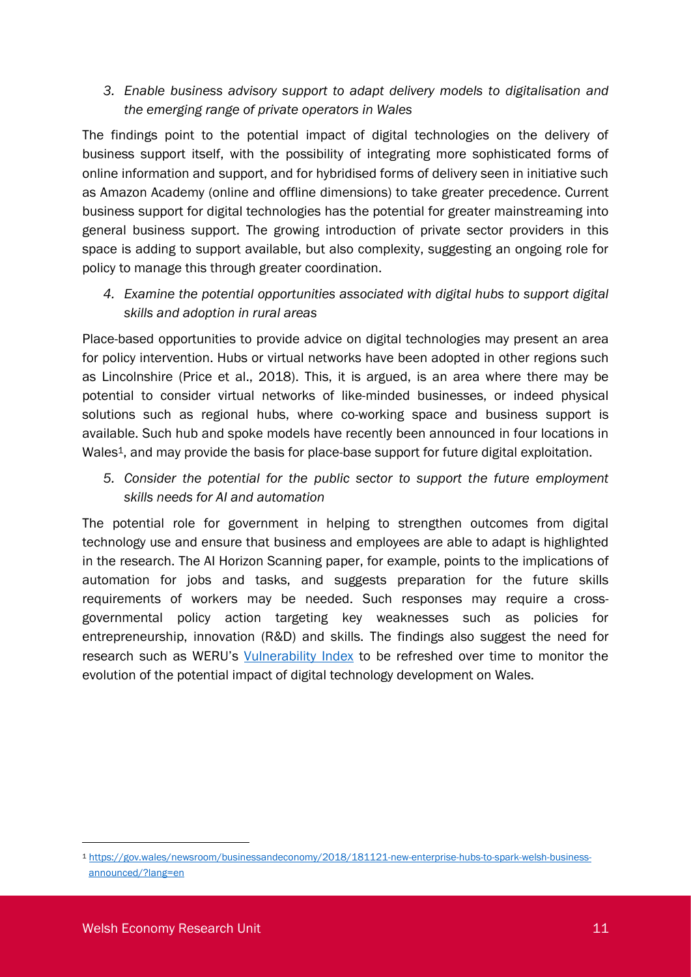### *3. Enable business advisory support to adapt delivery models to digitalisation and the emerging range of private operators in Wales*

The findings point to the potential impact of digital technologies on the delivery of business support itself, with the possibility of integrating more sophisticated forms of online information and support, and for hybridised forms of delivery seen in initiative such as Amazon Academy (online and offline dimensions) to take greater precedence. Current business support for digital technologies has the potential for greater mainstreaming into general business support. The growing introduction of private sector providers in this space is adding to support available, but also complexity, suggesting an ongoing role for policy to manage this through greater coordination.

*4. Examine the potential opportunities associated with digital hubs to support digital skills and adoption in rural areas*

Place-based opportunities to provide advice on digital technologies may present an area for policy intervention. Hubs or virtual networks have been adopted in other regions such as Lincolnshire (Price et al., 2018). This, it is argued, is an area where there may be potential to consider virtual networks of like-minded businesses, or indeed physical solutions such as regional hubs, where co-working space and business support is available. Such hub and spoke models have recently been announced in four locations in Wales<sup>1</sup>, and may provide the basis for place-base support for future digital exploitation.

*5. Consider the potential for the public sector to support the future employment skills needs for AI and automation*

The potential role for government in helping to strengthen outcomes from digital technology use and ensure that business and employees are able to adapt is highlighted in the research. The AI Horizon Scanning paper, for example, points to the implications of automation for jobs and tasks, and suggests preparation for the future skills requirements of workers may be needed. Such responses may require a crossgovernmental policy action targeting key weaknesses such as policies for entrepreneurship, innovation (R&D) and skills. The findings also suggest the need for research such as WERU's [Vulnerability Index](https://www.cardiff.ac.uk/__data/assets/pdf_file/0007/1437154/Horizon-Scanning-AI-and-Automation-Redraft-v2docx.pdf) to be refreshed over time to monitor the evolution of the potential impact of digital technology development on Wales.

<sup>1</sup> [https://gov.wales/newsroom/businessandeconomy/2018/181121-new-enterprise-hubs-to-spark-welsh-business](https://gov.wales/newsroom/businessandeconomy/2018/181121-new-enterprise-hubs-to-spark-welsh-business-announced/?lang=en)[announced/?lang=en](https://gov.wales/newsroom/businessandeconomy/2018/181121-new-enterprise-hubs-to-spark-welsh-business-announced/?lang=en)